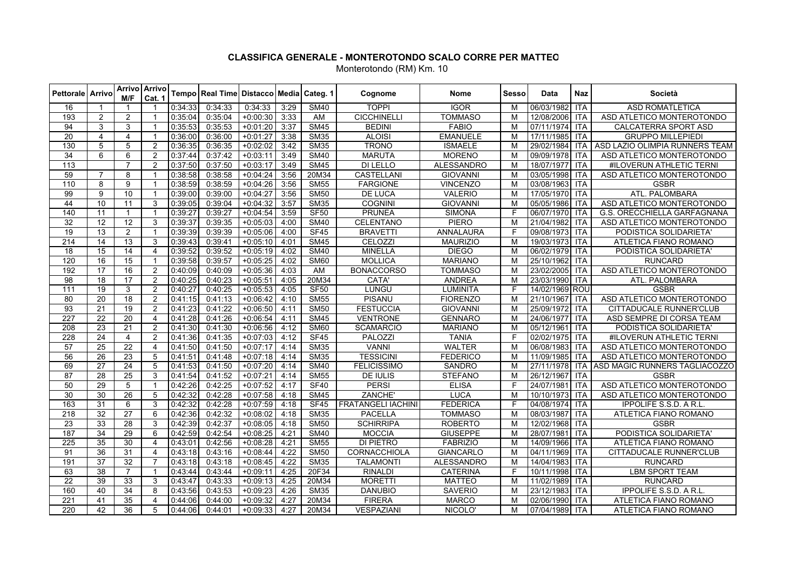| <b>Pettorale Arrivo</b> |                 | M/F             | Arrivo   Arrivo<br>Cat. 1 |         | Tempo Real Time Distacco Media Categ. 1 |            |      |                          | Cognome                   | Nome              | Sesso          | Data           | Naz                          | Società                        |
|-------------------------|-----------------|-----------------|---------------------------|---------|-----------------------------------------|------------|------|--------------------------|---------------------------|-------------------|----------------|----------------|------------------------------|--------------------------------|
| 16                      |                 |                 | 1                         | 0:34:33 | 0:34:33                                 | 0:34:33    | 3:29 | <b>SM40</b>              | <b>TOPPI</b>              | <b>IGOR</b>       | м              | 06/03/1982     | ITA                          | <b>ASD ROMATLETICA</b>         |
| 193                     | $\overline{2}$  | $\overline{2}$  | -1                        | 0:35:04 | 0:35:04                                 | $+0:00:30$ | 3:33 | AM                       | <b>CICCHINELLI</b>        | <b>TOMMASO</b>    | M              | 12/08/2006 ITA |                              | ASD ATLETICO MONTEROTONDO      |
| 94                      | 3               | 3               | $\overline{\mathbf{1}}$   | 0:35:53 | 0:35:53                                 | $+0:01:20$ | 3:37 | <b>SM45</b>              | <b>BEDINI</b>             | <b>FABIO</b>      | M              | 07/11/1974 ITA |                              | <b>CALCATERRA SPORT ASD</b>    |
| $\overline{20}$         | $\overline{4}$  | 4               | $\overline{\mathbf{1}}$   | 0:36:00 | 0:36:00                                 | $+0.01:27$ | 3:38 | <b>SM35</b>              | <b>ALOISI</b>             | <b>EMANUELE</b>   | M              | 17/11/1985 ITA |                              | <b>GRUPPO MILLEPIEDI</b>       |
| 130                     | 5               | 5               | $\overline{2}$            | 0:36:35 | 0:36:35                                 | $+0.02:02$ | 3:42 | <b>SM35</b>              | <b>TRONO</b>              | <b>ISMAELE</b>    | M              | 29/02/1984     | <b>ITA</b>                   | ASD LAZIO OLIMPIA RUNNERS TEAM |
| 34                      | 6               | 6               | $\overline{2}$            | 0:37:44 | 0:37:42                                 | $+0:03:11$ | 3:49 | <b>SM40</b>              | <b>MARUTA</b>             | <b>MORENO</b>     | M              | 09/09/1978 ITA |                              | ASD ATLETICO MONTEROTONDO      |
| $\overline{113}$        |                 | $\overline{7}$  | $\overline{2}$            | 0:37:50 | 0:37:50                                 | $+0.03:17$ | 3:49 | <b>SM45</b>              | <b>DI LELLO</b>           | <b>ALESSANDRO</b> | M              | 18/07/1977 ITA |                              | #ILOVERUN ATHLETIC TERNI       |
| 59                      | $\overline{7}$  | 8               | $\overline{1}$            | 0:38:58 | 0:38:58                                 | $+0.04.24$ | 3:56 | 20M34                    | <b>CASTELLANI</b>         | <b>GIOVANNI</b>   | M              | 03/05/1998 ITA |                              | ASD ATLETICO MONTEROTONDO      |
| 110                     | 8               | 9               | $\overline{\mathbf{1}}$   | 0:38:59 | 0:38:59                                 | $+0.04:26$ | 3:56 | <b>SM55</b>              | <b>FARGIONE</b>           | <b>VINCENZO</b>   | M              | 03/08/1963     | <b>ITA</b>                   | <b>GSBR</b>                    |
| $\overline{99}$         | $\overline{9}$  | 10              | $\overline{1}$            | 0:39:00 | 0:39:00                                 | $+0.04:27$ | 3:56 | <b>SM50</b>              | <b>DE LUCA</b>            | <b>VALERIO</b>    | M              | 17/05/1970 ITA |                              | ATL. PALOMBARA                 |
| 44                      | 10              | 11              | 3                         | 0:39:05 | 0:39:04                                 | $+0.04.32$ | 3:57 | <b>SM35</b>              | <b>COGNINI</b>            | <b>GIOVANNI</b>   | M              | 05/05/1986 ITA |                              | ASD ATLETICO MONTEROTONDO      |
| 140                     | $\overline{11}$ | $\mathbf{1}$    | $\overline{1}$            | 0:39:27 | 0:39:27                                 | $+0.04:54$ | 3:59 | <b>SF50</b>              | <b>PRUNEA</b>             | <b>SIMONA</b>     | E              | 06/07/1970 ITA |                              | G.S. ORECCHIELLA GARFAGNANA    |
| 32                      | 12              | 12              | $\overline{3}$            | 0:39:37 | 0:39:35                                 | $+0.05:03$ | 4:00 | <b>SM40</b>              | <b>CELENTANO</b>          | <b>PIERO</b>      | M              | 21/04/1982     | $\overline{I}$               | ASD ATLETICO MONTEROTONDO      |
| 19                      | 13              | $\overline{2}$  | $\overline{1}$            | 0:39:39 | 0:39:39                                 | $+0.05:06$ | 4:00 | SF45                     | <b>BRAVETTI</b>           | ANNALAURA         | E              | 09/08/1973 ITA |                              | PODISTICA SOLIDARIETA'         |
| 214                     | 14              | 13              | 3                         | 0:39:43 | 0:39:41                                 | $+0.05:10$ | 4:01 | <b>SM45</b>              | CELOZZI                   | <b>MAURIZIO</b>   | M              | 19/03/1973 ITA |                              | ATLETICA FIANO ROMANO          |
| 18                      | 15              | 14              | 4                         | 0:39:52 | 0:39:52                                 | $+0:05:19$ | 4:02 | <b>SM40</b>              | <b>MINELLA</b>            | <b>DIEGO</b>      | M              | 06/02/1979 ITA |                              | PODISTICA SOLIDARIETA'         |
| 120                     | 16              | 15              | $\overline{1}$            | 0:39:58 | 0:39:57                                 | $+0.05:25$ | 4:02 | <b>SM60</b>              | <b>MOLLICA</b>            | <b>MARIANO</b>    | M              | 25/10/1962     | <b>ITA</b>                   | <b>RUNCARD</b>                 |
| 192                     | $\overline{17}$ | 16              | $\overline{2}$            | 0:40:09 | 0:40:09                                 | $+0.05:36$ | 4:03 | AM                       | <b>BONACCORSO</b>         | <b>TOMMASO</b>    | M              | 23/02/2005     | <b>ITA</b>                   | ASD ATLETICO MONTEROTONDO      |
| 98                      | $\overline{18}$ | 17              | 2                         | 0:40:25 | 0:40:23                                 | $+0:05:51$ | 4:05 | 20M34                    | CATA'                     | <b>ANDREA</b>     | M              | 23/03/1990 ITA |                              | ATL. PALOMBARA                 |
| 111                     | $\overline{19}$ | 3               | 2                         | 0:40:27 | 0:40:25                                 | $+0.05:53$ | 4:05 | <b>SF50</b>              | <b>LUNGU</b>              | <b>LUMINITA</b>   | F              | 14/02/1969 ROU |                              | <b>GSBR</b>                    |
| 80                      | $\overline{20}$ | $\overline{18}$ | $\overline{2}$            | 0:41:15 | 0:41:13                                 | $+0.06:42$ | 4:10 | $\overline{\text{SM55}}$ | <b>PISANU</b>             | <b>FIORENZO</b>   | M              | 21/10/1967     | <b>ITA</b>                   | ASD ATLETICO MONTEROTONDO      |
| 93                      | $\overline{21}$ | $\overline{19}$ | 2                         | 0:41:23 | 0:41:22                                 | $+0.06:50$ | 4:11 | <b>SM50</b>              | <b>FESTUCCIA</b>          | <b>GIOVANNI</b>   | M              | 25/09/1972 ITA |                              | CITTADUCALE RUNNER'CLUB        |
| 227                     | $\overline{22}$ | $\overline{20}$ | $\overline{\mathcal{A}}$  | 0:41:28 | 0:41:26                                 | $+0.06:54$ | 4:11 | <b>SM45</b>              | <b>VENTRONE</b>           | <b>GENNARO</b>    | M              | 24/06/1977     | <b>ITA</b>                   | ASD SEMPRE DI CORSA TEAM       |
| 208                     | 23              | $\overline{21}$ | $\overline{2}$            | 0:41:30 | 0:41:30                                 | $+0.06:56$ | 4:12 | <b>SM60</b>              | <b>SCAMARCIO</b>          | <b>MARIANO</b>    | M              | 05/12/1961     | <b>ITA</b>                   | PODISTICA SOLIDARIETA'         |
| 228                     | $\overline{24}$ | $\overline{4}$  | $\overline{2}$            | 0:41:36 | 0:41:35                                 | $+0:07:03$ | 4:12 | <b>SF45</b>              | <b>PALOZZI</b>            | <b>TANIA</b>      | E              | 02/02/1975 ITA |                              | #ILOVERUN ATHLETIC TERNI       |
| $\overline{57}$         | 25              | $\overline{22}$ | $\overline{\mathcal{A}}$  | 0:41:50 | 0:41:50                                 | $+0.07:17$ | 4:14 | <b>SM35</b>              | <b>VANNI</b>              | <b>WALTER</b>     | M              | 06/08/1983     | <b>ITA</b>                   | ASD ATLETICO MONTEROTONDO      |
| 56                      | 26              | 23              | 5                         | 0:41:51 | 0:41:48                                 | $+0:07:18$ | 4:14 | <b>SM35</b>              | <b>TESSICINI</b>          | <b>FEDERICO</b>   | M              | 11/09/1985 ITA |                              | ASD ATLETICO MONTEROTONDO      |
| 69                      | $\overline{27}$ | $\overline{24}$ | 5                         | 0:41:53 | 0:41:50                                 | $+0.07:20$ | 4:14 | <b>SM40</b>              | <b>FELICISSIMO</b>        | <b>SANDRO</b>     | M              | 27/11/1978     | <b>ITA</b>                   | ASD MAGIC RUNNERS TAGLIACOZZO  |
| 87                      | 28              | 25              | 3                         | 0.41.54 | 0:41:52                                 | $+0.07:21$ | 4:14 | <b>SM55</b>              | <b>DE IULIS</b>           | <b>STEFANO</b>    | M              | 26/12/1967     | $\overline{\phantom{a}}$ ITA | <b>GSBR</b>                    |
| 50                      | 29              | 5               | $\overline{1}$            | 0:42:26 | 0:42:25                                 | $+0:07:52$ | 4:17 | <b>SF40</b>              | <b>PERSI</b>              | <b>ELISA</b>      | $\mathsf{F}$   | 24/07/1981 ITA |                              | ASD ATLETICO MONTEROTONDO      |
| 30                      | 30              | 26              | 5                         | 0:42:32 | 0:42:28                                 | $+0:07:58$ | 4:18 | <b>SM45</b>              | ZANCHE'                   | <b>LUCA</b>       | M              | 10/10/1973     | <b>ITA</b>                   | ASD ATLETICO MONTEROTONDO      |
| 163                     | 31              | 6               | 3                         | 0:42:32 | 0.42:28                                 | $+0.07:59$ | 4:18 | <b>SF45</b>              | <b>FRATANGELI IACHINI</b> | <b>FEDERICA</b>   | F              | 04/08/1974 ITA |                              | IPPOLIFE S.S.D. A R.L          |
| 218                     | 32              | 27              | 6                         | 0:42:36 | 0:42:32                                 | $+0.08:02$ | 4:18 | <b>SM35</b>              | <b>PACELLA</b>            | <b>TOMMASO</b>    | M              | 08/03/1987     | <b>ITA</b>                   | ATLETICA FIANO ROMANO          |
| 23                      | 33              | 28              | 3                         | 0:42:39 | 0:42:37                                 | $+0.08:05$ | 4:18 | <b>SM50</b>              | <b>SCHIRRIPA</b>          | <b>ROBERTO</b>    | M              | 12/02/1968     | <b>ITA</b>                   | <b>GSBR</b>                    |
| 187                     | 34              | 29              | 6                         | 0:42:59 | 0:42:54                                 | $+0.08:25$ | 4:21 | <b>SM40</b>              | <b>MOCCIA</b>             | <b>GIUSEPPE</b>   | M              | 28/07/1981     | <b>ITA</b>                   | PODISTICA SOLIDARIETA'         |
| 225                     | $\overline{35}$ | 30              | $\overline{4}$            | 0:43:01 | 0:42:56                                 | $+0.08.28$ | 4:21 | <b>SM55</b>              | <b>DI PIETRO</b>          | <b>FABRIZIO</b>   | M              | 14/09/1966     | <b>ITA</b>                   | ATLETICA FIANO ROMANO          |
| 91                      | 36              | 31              | $\overline{4}$            | 0:43:18 | 0:43:16                                 | $+0.08:44$ | 4:22 | <b>SM50</b>              | CORNACCHIOLA              | <b>GIANCARLO</b>  | M              | 04/11/1969     | <b>ITA</b>                   | <b>CITTADUCALE RUNNER'CLUB</b> |
| 191                     | $\overline{37}$ | $\overline{32}$ | $\overline{7}$            | 0:43:18 | 0:43:18                                 | $+0.08:45$ | 4:22 | <b>SM35</b>              | <b>TALAMONTI</b>          | <b>ALESSANDRO</b> | M              | 14/04/1983 ITA |                              | <b>RUNCARD</b>                 |
| 63                      | $\overline{38}$ | $\overline{7}$  | $\overline{1}$            | 0:43:44 | 0:43:44                                 | $+0.09:11$ | 4:25 | 20F34                    | <b>RINALDI</b>            | <b>CATERINA</b>   | E              | 10/11/1998 ITA |                              | <b>LBM SPORT TEAM</b>          |
| 22                      | 39              | 33              | 3                         | 0:43:47 | 0:43:33                                 | $+0.09.13$ | 4:25 | 20M34                    | <b>MORETTI</b>            | <b>MATTEO</b>     | M              | 11/02/1989     | <b>ITA</b>                   | <b>RUNCARD</b>                 |
| 160                     | 40              | $\overline{34}$ | 8                         | 0:43:56 | 0:43:53                                 | $+0.09:23$ | 4:26 | <b>SM35</b>              | <b>DANUBIO</b>            | <b>SAVERIO</b>    | M              | 23/12/1983 ITA |                              | IPPOLIFE S.S.D. A R.L          |
| 221                     | 41              | 35              | 4                         | 0:44:06 | 0:44:00                                 | $+0.09.32$ | 4:27 | 20M34                    | <b>FIRERA</b>             | <b>MARCO</b>      | M              | 02/06/1990 ITA |                              | ATLETICA FIANO ROMANO          |
| 220                     | 42              | 36              | 5                         | 0:44:06 | 0:44:01                                 | $+0.09:33$ | 4:27 | 20M34                    | <b>VESPAZIANI</b>         | NICOLO'           | $\overline{M}$ | 07/04/1989 ITA |                              | ATLETICA FIANO ROMANO          |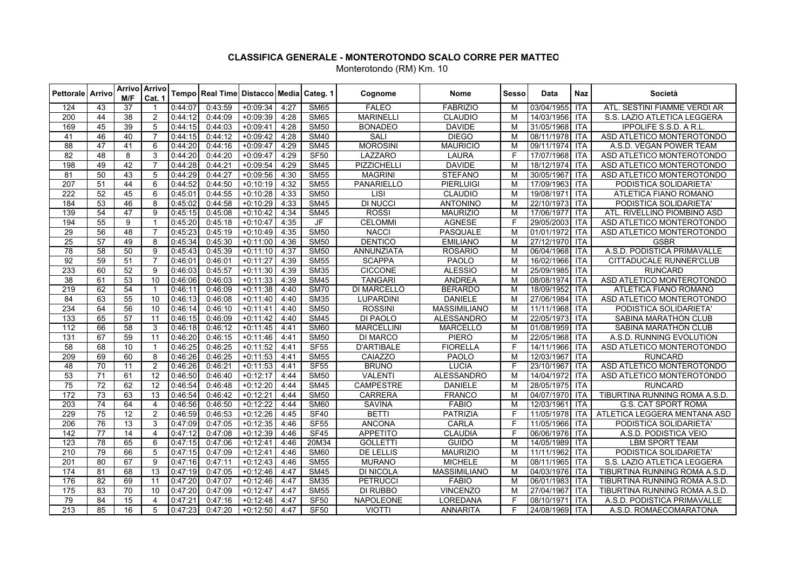| <b>Pettorale Arrivo</b> |                 | M/F             | Arrivo   Arrivo<br>Cat. 1 |         | Tempo Real Time Distacco Media Categ. 1 |            |      |             | Cognome           | Nome                | Sesso          | Data           | <b>Naz</b> | Società                       |
|-------------------------|-----------------|-----------------|---------------------------|---------|-----------------------------------------|------------|------|-------------|-------------------|---------------------|----------------|----------------|------------|-------------------------------|
| 124                     | 43              | 37              | -1                        | 0:44:07 | 0:43:59                                 | $+0.09.34$ | 4:27 | <b>SM65</b> | <b>FALEO</b>      | <b>FABRIZIO</b>     | м              | 03/04/1955 ITA |            | ATL. SESTINI FIAMME VERDI AR  |
| 200                     | 44              | 38              | $\overline{2}$            | 0:44:12 | 0:44:09                                 | $+0.09:39$ | 4:28 | <b>SM65</b> | <b>MARINELLI</b>  | <b>CLAUDIO</b>      | M              | 14/03/1956 ITA |            | S.S. LAZIO ATLETICA LEGGERA   |
| 169                     | 45              | 39              | 5                         | 0:44:15 | 0:44:03                                 | $+0.09:41$ | 4:28 | <b>SM50</b> | <b>BONADEO</b>    | <b>DAVIDE</b>       | M              | 31/05/1968 ITA |            | <b>IPPOLIFE S.S.D. A R.L</b>  |
| 41                      | 46              | 40              | $\overline{7}$            | 0:44:15 | 0:44:12                                 | $+0.09:42$ | 4:28 | <b>SM40</b> | <b>SALI</b>       | <b>DIEGO</b>        | M              | 08/11/1978 ITA |            | ASD ATLETICO MONTEROTONDO     |
| 88                      | 47              | 41              | 6                         | 0.44:20 | 0:44:16                                 | $+0.09.47$ | 4:29 | <b>SM45</b> | <b>MOROSINI</b>   | <b>MAURICIO</b>     | M              | 09/11/1974 ITA |            | A.S.D. VEGAN POWER TEAM       |
| 82                      | 48              | 8               | 3                         | 0.44:20 | 0.44.20                                 | $+0.09.47$ | 4:29 | <b>SF50</b> | <b>LAZZARO</b>    | <b>LAURA</b>        | F              | 17/07/1968 ITA |            | ASD ATLETICO MONTEROTONDO     |
| 198                     | 49              | 42              | $\overline{7}$            | 0:44:28 | 0:44:21                                 | $+0.09:54$ | 4:29 | <b>SM45</b> | PIZZICHELLI       | <b>DAVIDE</b>       | M              | 18/12/1974 ITA |            | ASD ATLETICO MONTEROTONDO     |
| 81                      | 50              | 43              | 5                         | 0:44:29 | 0:44:27                                 | $+0.09.56$ | 4:30 | <b>SM55</b> | <b>MAGRINI</b>    | <b>STEFANO</b>      | M              | 30/05/1967     | <b>ITA</b> | ASD ATLETICO MONTEROTONDO     |
| 207                     | 51              | 44              | 6                         | 0:44:52 | 0:44:50                                 | $+0:10:19$ | 4:32 | <b>SM55</b> | PANARIELLO        | <b>PIERLUIGI</b>    | M              | 17/09/1963 ITA |            | PODISTICA SOLIDARIETA'        |
| $\overline{222}$        | 52              | 45              | 6                         | 0:45:01 | 0:44:55                                 | $+0:10:28$ | 4:33 | <b>SM50</b> | LISI              | <b>CLAUDIO</b>      | M              | 19/08/1971 ITA |            | ATLETICA FIANO ROMANO         |
| 184                     | 53              | 46              | 8                         | 0:45:02 | 0:44:58                                 | $+0:10:29$ | 4:33 | <b>SM45</b> | <b>DI NUCCI</b>   | <b>ANTONINO</b>     | M              | 22/10/1973 ITA |            | PODISTICA SOLIDARIETA'        |
| 139                     | 54              | 47              | 9                         | 0:45:15 | 0:45:08                                 | $+0.10:42$ | 4:34 | <b>SM45</b> | <b>ROSSI</b>      | <b>MAURIZIO</b>     | M              | 17/06/1977     | <b>ITA</b> | ATL. RIVELLINO PIOMBINO ASD   |
| 194                     | 55              | $\overline{9}$  | $\overline{1}$            | 0.45:20 | 0:45:18                                 | $+0.10:47$ | 4:35 | JF          | <b>CELOMMI</b>    | <b>AGNESE</b>       | $\overline{F}$ | 29/05/2003 ITA |            | ASD ATLETICO MONTEROTONDO     |
| 29                      | 56              | 48              | $\overline{7}$            | 0:45:23 | 0:45:19                                 | $+0.10:49$ | 4:35 | <b>SM50</b> | <b>NACCI</b>      | PASQUALE            | M              | 01/01/1972     | <b>ITA</b> | ASD ATLETICO MONTEROTONDO     |
| 25                      | $\overline{57}$ | 49              | 8                         | 0:45:34 | 0:45:30                                 | $+0:11:00$ | 4:36 | <b>SM50</b> | <b>DENTICO</b>    | <b>EMILIANO</b>     | M              | 27/12/1970 ITA |            | <b>GSBR</b>                   |
| 78                      | 58              | 50              | 9                         | 0:45:43 | 0:45:39                                 | $+0.11:10$ | 4:37 | <b>SM50</b> | ANNUNZIATA        | <b>ROSARIO</b>      | M              | 06/04/1968 ITA |            | A.S.D. PODISTICA PRIMAVALLE   |
| 92                      | 59              | 51              | $\overline{7}$            | 0.46.01 | 0.46:01                                 | $+0:11:27$ | 4:39 | <b>SM55</b> | <b>SCAPPA</b>     | <b>PAOLO</b>        | M              | 16/02/1966 ITA |            | CITTADUCALE RUNNER'CLUB       |
| 233                     | 60              | 52              | 9                         | 0:46:03 | 0:45:57                                 | $+0:11:30$ | 4:39 | <b>SM35</b> | <b>CICCONE</b>    | <b>ALESSIO</b>      | M              | 25/09/1985 ITA |            | <b>RUNCARD</b>                |
| 38                      | 61              | 53              | 10                        | 0:46:06 | 0:46:03                                 | $+0:11:33$ | 4:39 | <b>SM45</b> | <b>TANGARI</b>    | <b>ANDREA</b>       | M              | 08/08/1974     | <b>ITA</b> | ASD ATLETICO MONTEROTONDO     |
| 219                     | 62              | 54              | -1                        | 0:46:11 | 0:46:09                                 | $+0.11.38$ | 4:40 | <b>SM70</b> | DI MARCELLO       | <b>BERARDO</b>      | M              | 18/09/1952     | <b>ITA</b> | ATLETICA FIANO ROMANO         |
| 84                      | 63              | $\overline{55}$ | 10                        | 0:46:13 | 0:46:08                                 | $+0.11:40$ | 4:40 | <b>SM35</b> | <b>LUPARDINI</b>  | <b>DANIELE</b>      | M              | 27/06/1984     | <b>ITA</b> | ASD ATLETICO MONTEROTONDO     |
| 234                     | 64              | 56              | 10                        | 0:46:14 | 0:46:10                                 | $+0:11:41$ | 4:40 | <b>SM50</b> | <b>ROSSINI</b>    | <b>MASSIMILIANO</b> | M              | 11/11/1968 ITA |            | PODISTICA SOLIDARIETA'        |
| 133                     | 65              | $\overline{57}$ | 11                        | 0:46:15 | 0:46:09                                 | $+0.11.42$ | 4:40 | <b>SM45</b> | DI PAOLO          | <b>ALESSANDRO</b>   | M              | 22/05/1973     | <b>ITA</b> | SABINA MARATHON CLUB          |
| 112                     | 66              | $\overline{58}$ | 3                         | 0:46:18 | 0:46:12                                 | $+0:11:45$ | 4:41 | <b>SM60</b> | <b>MARCELLINI</b> | <b>MARCELLO</b>     | M              | 01/08/1959 ITA |            | SABINA MARATHON CLUB          |
| 131                     | 67              | 59              | 11                        | 0:46:20 | 0:46:15                                 | $+0.11:46$ | 4:41 | <b>SM50</b> | DI MARCO          | <b>PIERO</b>        | M              | 22/05/1968 ITA |            | A.S.D. RUNNING EVOLUTION      |
| $\overline{58}$         | 68              | $\overline{10}$ | $\overline{1}$            | 0:46:25 | 0:46:25                                 | $+0.11.52$ | 4:41 | <b>SF55</b> | <b>D'ARTIBALE</b> | <b>FIORELLA</b>     | E              | 14/11/1966     | <b>ITA</b> | ASD ATLETICO MONTEROTONDO     |
| 209                     | 69              | 60              | 8                         | 0:46:26 | 0:46:25                                 | $+0:11:53$ | 4:41 | <b>SM55</b> | CAIAZZO           | <b>PAOLO</b>        | M              | 12/03/1967     | l Ita      | <b>RUNCARD</b>                |
| 48                      | $\overline{70}$ | $\overline{11}$ | 2                         | 0:46:26 | 0:46:21                                 | $+0:11:53$ | 4:41 | <b>SF55</b> | <b>BRUNO</b>      | <b>LUCIA</b>        | E              | 23/10/1967     | <b>ITA</b> | ASD ATLETICO MONTEROTONDO     |
| 53                      | $\overline{71}$ | 61              | 12                        | 0:46:50 | 0:46:40                                 | $+0.12:17$ | 4:44 | <b>SM50</b> | <b>VALENTI</b>    | <b>ALESSANDRO</b>   | M              | 14/04/1972     | <b>ITA</b> | ASD ATLETICO MONTEROTONDO     |
| 75                      | 72              | 62              | 12                        | 0:46:54 | 0:46:48                                 | $+0:12:20$ | 4:44 | <b>SM45</b> | <b>CAMPESTRE</b>  | <b>DANIELE</b>      | M              | 28/05/1975 ITA |            | <b>RUNCARD</b>                |
| 172                     | 73              | 63              | 13                        | 0:46:54 | 0:46:42                                 | $+0:12:21$ | 4:44 | <b>SM50</b> | <b>CARRERA</b>    | <b>FRANCO</b>       | M              | 04/07/1970 ITA |            | TIBURTINA RUNNING ROMA A.S.D. |
| 203                     | 74              | 64              | 4                         | 0:46:56 | 0:46:50                                 | $+0:12:22$ | 4.44 | <b>SM60</b> | <b>SAVINA</b>     | <b>FABIO</b>        | M              | 12/03/1961     | <b>ITA</b> | <b>G.S. CAT SPORT ROMA</b>    |
| 229                     | $\overline{75}$ | 12              | $\overline{2}$            | 0:46:59 | 0:46:53                                 | $+0:12:26$ | 4:45 | <b>SF40</b> | <b>BETTI</b>      | <b>PATRIZIA</b>     | F              | 11/05/1978     | <b>ITA</b> | ATLETICA LEGGERA MENTANA ASD  |
| 206                     | 76              | 13              | 3                         | 0:47:09 | 0:47:05                                 | $+0:12:35$ | 4:46 | <b>SF55</b> | <b>ANCONA</b>     | <b>CARLA</b>        | F              | 11/05/1966 ITA |            | PODISTICA SOLIDARIETA'        |
| 142                     | 77              | 14              | 4                         | 0:47:12 | 0:47:08                                 | $+0:12:39$ | 4:46 | <b>SF45</b> | <b>APPETITO</b>   | <b>CLAUDIA</b>      | F              | 06/06/1976 ITA |            | A.S.D. PODISTICA VEIO         |
| $\overline{123}$        | 78              | 65              | 6                         | 0:47:15 | 0:47:06                                 | $+0.12.41$ | 4:46 | 20M34       | <b>GOLLETTI</b>   | <b>GUIDO</b>        | M              | 14/05/1989     | <b>ITA</b> | <b>LBM SPORT TEAM</b>         |
| 210                     | 79              | 66              | 5                         | 0:47:15 | 0:47:09                                 | $+0:12:41$ | 4:46 | <b>SM60</b> | DE LELLIS         | <b>MAURIZIO</b>     | M              | 11/11/1962     | <b>ITA</b> | PODISTICA SOLIDARIETA'        |
| 201                     | $\overline{80}$ | 67              | 9                         | 0:47:16 | 0:47:11                                 | $+0:12:43$ | 4:46 | <b>SM55</b> | <b>MURANO</b>     | <b>MICHELE</b>      | M              | 08/11/1965 ITA |            | S.S. LAZIO ATLETICA LEGGERA   |
| 174                     | $\overline{81}$ | 68              | $\overline{13}$           | 0:47:19 | 0:47:05                                 | $+0.12.46$ | 4:47 | <b>SM45</b> | <b>DI NICOLA</b>  | <b>MASSIMILIANO</b> | M              | 04/03/1976 ITA |            | TIBURTINA RUNNING ROMA A.S.D. |
| 176                     | 82              | 69              | 11                        | 0:47:20 | 0:47:07                                 | $+0:12:46$ | 4:47 | <b>SM35</b> | <b>PETRUCCI</b>   | <b>FABIO</b>        | M              | 06/01/1983     | <b>ITA</b> | TIBURTINA RUNNING ROMA A.S.D. |
| 175                     | 83              | 70              | 10                        | 0:47:20 | 0:47:09                                 | $+0:12:47$ | 4:47 | <b>SM55</b> | DI RUBBO          | <b>VINCENZO</b>     | M              | 27/04/1967     | <b>ITA</b> | TIBURTINA RUNNING ROMA A.S.D. |
| 79                      | 84              | 15              | 4                         | 0:47:21 | 0:47:16                                 | $+0.12:48$ | 4:47 | SF50        | <b>NAPOLEONE</b>  | LOREDANA            | E              | 08/10/1971     | <b>ITA</b> | A.S.D. PODISTICA PRIMAVALLE   |
| 213                     | 85              | 16              | 5                         | 0:47:23 | 0:47:20                                 | $+0.12:50$ | 4:47 | <b>SF50</b> | <b>VIOTTI</b>     | <b>ANNARITA</b>     | F              | 24/08/1969 ITA |            | A.S.D. ROMAECOMARATONA        |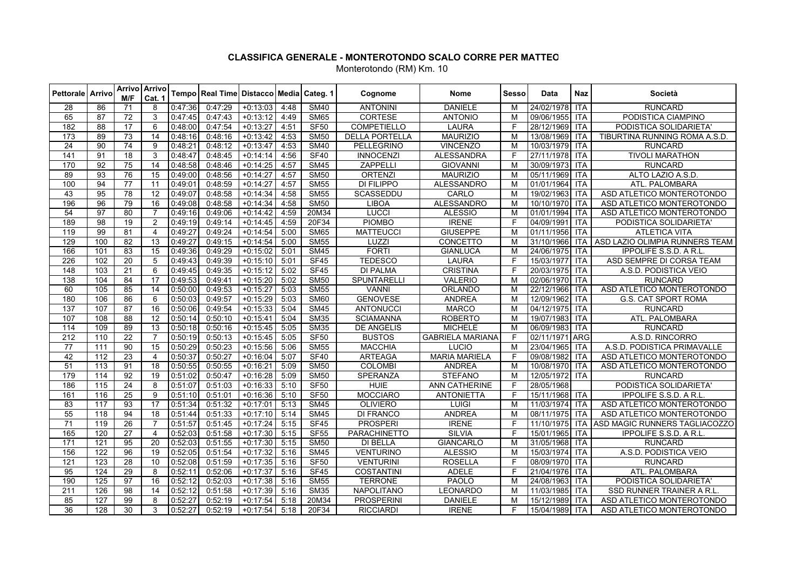| <b>Pettorale Arrivo</b> |                  | M/F             | Arrivo   Arrivo<br>Cat. 1 |         | Tempo Real Time Distacco Media Categ. 1 |            |      |                          | Cognome               | Nome                    | <b>Sesso</b>   | Data           | <b>Naz</b> | Società                        |
|-------------------------|------------------|-----------------|---------------------------|---------|-----------------------------------------|------------|------|--------------------------|-----------------------|-------------------------|----------------|----------------|------------|--------------------------------|
| 28                      | 86               | 71              | 8                         | 0:47:36 | 0:47:29                                 | $+0.13.03$ | 4:48 | <b>SM40</b>              | <b>ANTONINI</b>       | <b>DANIELE</b>          | M              | 24/02/1978     | <b>ITA</b> | <b>RUNCARD</b>                 |
| 65                      | 87               | 72              | 3                         | 0:47:45 | 0.47.43                                 | $+0:13:12$ | 4:49 | <b>SM65</b>              | <b>CORTESE</b>        | <b>ANTONIO</b>          | M              | 09/06/1955 ITA |            | PODISTICA CIAMPINO             |
| 182                     | 88               | 17              | 6                         | 0.48:00 | 0:47:54                                 | $+0:13:27$ | 4:51 | <b>SF50</b>              | <b>COMPETIELLO</b>    | <b>LAURA</b>            | F              | 28/12/1969 ITA |            | PODISTICA SOLIDARIETA'         |
| 173                     | $\overline{89}$  | 73              | 14                        | 0:48:16 | 0:48:16                                 | $+0.13.42$ | 4:53 | <b>SM50</b>              | <b>DELLA PORTELLA</b> | <b>MAURIZIO</b>         | M              | 13/08/1969 ITA |            | TIBURTINA RUNNING ROMA A.S.D.  |
| 24                      | $\overline{90}$  | $\overline{74}$ | 9                         | 0:48:21 | 0:48:12                                 | $+0:13:47$ | 4:53 | <b>SM40</b>              | PELLEGRINO            | <b>VINCENZO</b>         | M              | 10/03/1979 ITA |            | <b>RUNCARD</b>                 |
| 141                     | 91               | 18              | 3                         | 0:48:47 | 0:48:45                                 | $+0:14:14$ | 4:56 | <b>SF40</b>              | <b>INNOCENZI</b>      | <b>ALESSANDRA</b>       | F              | 27/11/1978 ITA |            | <b>TIVOLI MARATHON</b>         |
| 170                     | $\overline{92}$  | 75              | $\overline{14}$           | 0:48:58 | 0:48:46                                 | $+0:14:25$ | 4:57 | <b>SM45</b>              | <b>ZAPPELLI</b>       | <b>GIOVANNI</b>         | M              | 30/09/1973     | <b>ITA</b> | <b>RUNCARD</b>                 |
| 89                      | $\overline{93}$  | 76              | 15                        | 0:49:00 | 0:48:56                                 | $+0.14:27$ | 4:57 | <b>SM50</b>              | <b>ORTENZI</b>        | <b>MAURIZIO</b>         | M              | 05/11/1969     | <b>ITA</b> | ALTO LAZIO A.S.D.              |
| 100                     | 94               | $\overline{77}$ | 11                        | 0:49:01 | 0:48:59                                 | $+0:14:27$ | 4:57 | <b>SM55</b>              | <b>DI FILIPPO</b>     | <b>ALESSANDRO</b>       | M              | 01/01/1964     | <b>ITA</b> | ATL. PALOMBARA                 |
| 43                      | 95               | 78              | 12                        | 0:49:07 | 0:48:58                                 | $+0.14.34$ | 4:58 | <b>SM55</b>              | <b>SCASSEDDU</b>      | CARLO                   | M              | 19/02/1963     | <b>ITA</b> | ASD ATLETICO MONTEROTONDO      |
| 196                     | $\overline{96}$  | 79              | $\overline{16}$           | 0:49:08 | 0:48:58                                 | $+0.14.34$ | 4:58 | <b>SM50</b>              | <b>LIBOA</b>          | <b>ALESSANDRO</b>       | M              | 10/10/1970     | ITA        | ASD ATLETICO MONTEROTONDO      |
| 54                      | $\overline{97}$  | 80              | $\overline{7}$            | 0:49:16 | 0:49:06                                 | $+0.14:42$ | 4:59 | 20M34                    | <b>LUCCI</b>          | <b>ALESSIO</b>          | M              | 01/01/1994     | <b>ITA</b> | ASD ATLETICO MONTEROTONDO      |
| 189                     | 98               | 19              | $\overline{2}$            | 0:49:19 | 0:49:14                                 | $+0.14:45$ | 4:59 | 20F34                    | <b>PIOMBO</b>         | <b>IRENE</b>            | $\overline{F}$ | 04/09/1991     | <b>ITA</b> | PODISTICA SOLIDARIETA'         |
| 119                     | 99               | 81              | $\overline{4}$            | 0:49:27 | 0:49:24                                 | $+0:14:54$ | 5:00 | <b>SM65</b>              | <b>MATTEUCCI</b>      | <b>GIUSEPPE</b>         | M              | 01/11/1956     | <b>ITA</b> | <b>ATLETICA VITA</b>           |
| 129                     | 100              | 82              | 13                        | 0:49:27 | 0:49:15                                 | $+0.14.54$ | 5:00 | <b>SM55</b>              | LUZZI                 | CONCETTO                | M              | 31/10/1966     | <b>ITA</b> | ASD LAZIO OLIMPIA RUNNERS TEAM |
| 166                     | 101              | 83              | 15                        | 0:49:36 | 0:49:29                                 | $+0:15:02$ | 5:01 | <b>SM45</b>              | <b>FORTI</b>          | <b>GIANLUCA</b>         | M              | 24/06/1975     | <b>ITA</b> | <b>IPPOLIFE S.S.D. A R.L</b>   |
| 226                     | 102              | $\overline{20}$ | 5                         | 0:49:43 | 0:49:39                                 | $+0:15:10$ | 5:01 | SF45                     | <b>TEDESCO</b>        | <b>LAURA</b>            | F              | 15/03/1977     | <b>ITA</b> | ASD SEMPRE DI CORSA TEAM       |
| 148                     | 103              | 21              | 6                         | 0:49:45 | 0:49:35                                 | $+0:15:12$ | 5:02 | SF45                     | <b>DI PALMA</b>       | <b>CRISTINA</b>         | F              | 20/03/1975 ITA |            | A.S.D. PODISTICA VEIO          |
| 138                     | 104              | 84              | 17                        | 0:49:53 | 0:49:41                                 | $+0:15:20$ | 5:02 | <b>SM50</b>              | SPUNTARELLI           | <b>VALERIO</b>          | M              | 02/06/1970     | <b>ITA</b> | <b>RUNCARD</b>                 |
| 60                      | 105              | 85              | 14                        | 0:50:00 | 0:49:53                                 | $+0.15:27$ | 5:03 | <b>SM55</b>              | <b>VANNI</b>          | <b>ORLANDO</b>          | M              | 22/12/1966     | <b>ITA</b> | ASD ATLETICO MONTEROTONDO      |
| 180                     | 106              | 86              | 6                         | 0:50:03 | 0:49:57                                 | $+0:15:29$ | 5:03 | <b>SM60</b>              | <b>GENOVESE</b>       | <b>ANDREA</b>           | M              | 12/09/1962     | <b>ITA</b> | <b>G.S. CAT SPORT ROMA</b>     |
| 137                     | 107              | 87              | 16                        | 0:50:06 | 0:49:54                                 | $+0:15:33$ | 5:04 | <b>SM45</b>              | <b>ANTONUCCI</b>      | <b>MARCO</b>            | M              | 04/12/1975     | <b>ITA</b> | <b>RUNCARD</b>                 |
| 107                     | 108              | $\overline{88}$ | $\overline{12}$           | 0:50:14 | 0:50:10                                 | $+0:15:41$ | 5:04 | <b>SM35</b>              | <b>SCIAMANNA</b>      | <b>ROBERTO</b>          | M              | 19/07/1983     | <b>ITA</b> | ATL. PALOMBARA                 |
| 114                     | 109              | 89              | $\overline{13}$           | 0:50:18 | 0:50:16                                 | $+0:15:45$ | 5:05 | <b>SM35</b>              | <b>DE ANGELIS</b>     | <b>MICHELE</b>          | M              | 06/09/1983     | <b>ITA</b> | <b>RUNCARD</b>                 |
| $\overline{212}$        | 110              | $\overline{22}$ | $\overline{7}$            | 0:50:19 | 0:50:13                                 | $+0:15:45$ | 5:05 | <b>SF50</b>              | <b>BUSTOS</b>         | <b>GABRIELA MARIANA</b> | E              | 02/11/1971 ARG |            | A.S.D. RINCORRO                |
| 77                      | 111              | 90              | $\overline{15}$           | 0:50:29 | 0:50:23                                 | $+0.15:56$ | 5:06 | <b>SM55</b>              | <b>MACCHIA</b>        | LUCIO                   | M              | 23/04/1965     | <b>ITA</b> | A.S.D. PODISTICA PRIMAVALLE    |
| $\overline{42}$         | 112              | 23              | $\overline{4}$            | 0:50:37 | 0:50:27                                 | $+0.16.04$ | 5:07 | <b>SF40</b>              | <b>ARTEAGA</b>        | <b>MARIA MARIELA</b>    | $\overline{F}$ | 09/08/1982     | <b>ITA</b> | ASD ATLETICO MONTEROTONDO      |
| $\overline{51}$         | $\overline{113}$ | 91              | $\overline{18}$           | 0:50:55 | 0:50:55                                 | $+0:16:21$ | 5:09 | <b>SM50</b>              | <b>COLOMBI</b>        | <b>ANDREA</b>           | M              | 10/08/1970     | ITA        | ASD ATLETICO MONTEROTONDO      |
| 179                     | 114              | 92              | 19                        | 0:51:02 | 0:50:47                                 | $+0.16:28$ | 5:09 | <b>SM50</b>              | <b>SPERANZA</b>       | <b>STEFANO</b>          | M              | 12/05/1972     | <b>ITA</b> | <b>RUNCARD</b>                 |
| 186                     | 115              | 24              | 8                         | 0:51:07 | 0:51:03                                 | $+0.16:33$ | 5:10 | SF50                     | HUIE                  | ANN CATHERINE           | F              | 28/05/1968     |            | PODISTICA SOLIDARIETA'         |
| 161                     | 116              | 25              | 9                         | 0:51:10 | 0:51:01                                 | $+0.16.36$ | 5:10 | <b>SF50</b>              | <b>MOCCIARO</b>       | <b>ANTONIETTA</b>       | E              | 15/11/1968 ITA |            | <b>IPPOLIFE S.S.D. A R.L</b>   |
| 83                      | 117              | 93              | 17                        | 0:51:34 | 0:51:32                                 | $+0:17:01$ | 5:13 | <b>SM45</b>              | <b>OLIVIERO</b>       | LUIGI                   | M              | 11/03/1974     | <b>ITA</b> | ASD ATLETICO MONTEROTONDO      |
| 55                      | 118              | 94              | $\overline{18}$           | 0:51:44 | 0:51:33                                 | $+0:17:10$ | 5:14 | <b>SM45</b>              | <b>DI FRANCO</b>      | <b>ANDREA</b>           | M              | 08/11/1975     | <b>ITA</b> | ASD ATLETICO MONTEROTONDO      |
| 71                      | 119              | 26              | $\overline{7}$            | 0:51:57 | 0:51:45                                 | $+0:17:24$ | 5:15 | SF45                     | <b>PROSPERI</b>       | <b>IRENE</b>            | F              | 11/10/1975     | <b>ITA</b> | ASD MAGIC RUNNERS TAGLIACOZZO  |
| 165                     | 120              | 27              | $\overline{4}$            | 0:52:03 | 0:51:58                                 | $+0:17:30$ | 5:15 | SF55                     | PARACHINETTO          | SILVIA                  | F              | 15/01/1965     | <b>ITA</b> | <b>IPPOLIFE S.S.D. A R.L</b>   |
| 171                     | 121              | 95              | 20                        | 0:52:03 | 0:51:55                                 | $+0:17:30$ | 5:15 | <b>SM50</b>              | <b>DI BELLA</b>       | <b>GIANCARLO</b>        | M              | 31/05/1968     | <b>ITA</b> | <b>RUNCARD</b>                 |
| 156                     | 122              | $\overline{96}$ | $\overline{19}$           | 0:52:05 | 0:51:54                                 | $+0:17:32$ | 5:16 | $\overline{\text{SM45}}$ | <b>VENTURINO</b>      | <b>ALESSIO</b>          | M              | 15/03/1974     | <b>ITA</b> | A.S.D. PODISTICA VEIO          |
| 121                     | 123              | 28              | 10                        | 0:52:08 | 0:51:59                                 | $+0:17:35$ | 5:16 | <b>SF50</b>              | <b>VENTURINI</b>      | <b>ROSELLA</b>          | E              | 08/09/1970 ITA |            | <b>RUNCARD</b>                 |
| 95                      | $\overline{124}$ | 29              | 8                         | 0:52:11 | 0:52:06                                 | $+0.17:37$ | 5:16 | SF45                     | <b>COSTANTINI</b>     | <b>ADELE</b>            | F              | 21/04/1976     | ITA        | ATL. PALOMBARA                 |
| 190                     | 125              | 97              | 16                        | 0:52:12 | 0:52:03                                 | $+0:17:38$ | 5:16 | <b>SM55</b>              | <b>TERRONE</b>        | <b>PAOLO</b>            | M              | 24/08/1963     | <b>ITA</b> | PODISTICA SOLIDARIETA'         |
| 211                     | 126              | $\overline{98}$ | 14                        | 0:52:12 | 0:51:58                                 | $+0:17:39$ | 5:16 | <b>SM35</b>              | <b>NAPOLITANO</b>     | LEONARDO                | M              | 11/03/1985     | <b>ITA</b> | SSD RUNNER TRAINER A R.L.      |
| 85                      | $\overline{127}$ | 99              | 8                         | 0:52:27 | 0:52:19                                 | $+0.17:54$ | 5:18 | 20M34                    | <b>PROSPERINI</b>     | <b>DANIELE</b>          | M              | 15/12/1989     | <b>ITA</b> | ASD ATLETICO MONTEROTONDO      |
| 36                      | 128              | 30              | $\overline{\mathbf{3}}$   | 0:52:27 | 0:52:19                                 | $+0:17:54$ | 5:18 | 20F34                    | <b>RICCIARDI</b>      | <b>IRENE</b>            | F              | 15/04/1989 ITA |            | ASD ATLETICO MONTEROTONDO      |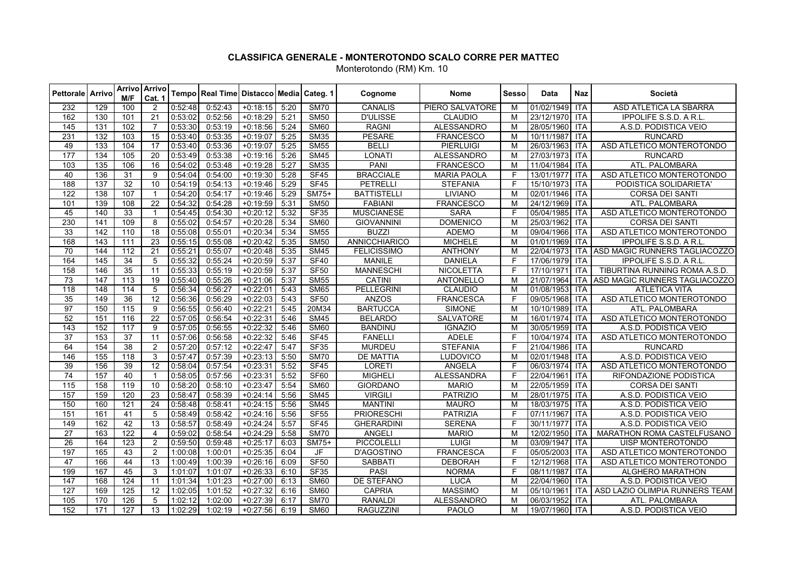| <b>Pettorale Arrivo</b> |                  | M/F               | Arrivo Arrivo<br>Cat. 1 |         | Tempo Real Time Distacco Media Categ. 1 |            |      |                  | Cognome            | <b>Nome</b>        | <b>Sesso</b>   | Data           | Naz        | Società                                      |
|-------------------------|------------------|-------------------|-------------------------|---------|-----------------------------------------|------------|------|------------------|--------------------|--------------------|----------------|----------------|------------|----------------------------------------------|
| 232                     | 129              | 100               | 2                       | 0:52:48 | 0:52:43                                 | $+0:18:15$ | 5:20 | <b>SM70</b>      | CANALIS            | PIERO SALVATORE    | M              | 01/02/1949 ITA |            | ASD ATLETICA LA SBARRA                       |
| 162                     | 130              | 101               | 21                      | 0:53:02 | 0:52:56                                 | $+0:18:29$ | 5:21 | <b>SM50</b>      | <b>D'ULISSE</b>    | <b>CLAUDIO</b>     | M              | 23/12/1970 ITA |            | IPPOLIFE S.S.D. A R.L.                       |
| 145                     | 131              | 102               | $\overline{7}$          | 0:53:30 | 0:53:19                                 | $+0:18:56$ | 5:24 | <b>SM60</b>      | <b>RAGNI</b>       | <b>ALESSANDRO</b>  | M              | 28/05/1960 ITA |            | A.S.D. PODISTICA VEIO                        |
| 231                     | 132              | 103               | $\overline{15}$         | 0:53:40 | 0:53:35                                 | $+0.19:07$ | 5:25 | <b>SM35</b>      | <b>PESARE</b>      | <b>FRANCESCO</b>   | M              | 10/11/1987 ITA |            | <b>RUNCARD</b>                               |
| 49                      | $\overline{133}$ | 104               | $\overline{17}$         | 0:53:40 | 0:53:36                                 | $+0.19:07$ | 5:25 | <b>SM55</b>      | <b>BELLI</b>       | <b>PIERLUIGI</b>   | M              | 26/03/1963 ITA |            | ASD ATLETICO MONTEROTONDO                    |
| $\overline{177}$        | 134              | 105               | $\overline{20}$         | 0:53:49 | 0:53:38                                 | $+0:19:16$ | 5:26 | <b>SM45</b>      | <b>LONATI</b>      | <b>ALESSANDRO</b>  | M              | 27/03/1973 ITA |            | <b>RUNCARD</b>                               |
| 103                     | 135              | 106               | $\overline{16}$         | 0:54:02 | 0:53:48                                 | $+0.19.28$ | 5:27 | <b>SM35</b>      | <b>PANI</b>        | <b>FRANCESCO</b>   | M              | 11/04/1984 ITA |            | ATL. PALOMBARA                               |
| 40                      | 136              | $\overline{31}$   | 9                       | 0:54:04 | 0:54:00                                 | $+0.19:30$ | 5:28 | <b>SF45</b>      | <b>BRACCIALE</b>   | <b>MARIA PAOLA</b> | E              | 13/01/1977 ITA |            | ASD ATLETICO MONTEROTONDO                    |
| 188                     | $\overline{137}$ | $\overline{32}$   | 10                      | 0:54:19 | 0:54:13                                 | $+0.19:46$ | 5:29 | SF45             | <b>PETRELLI</b>    | <b>STEFANIA</b>    | F              | 15/10/1973 ITA |            | PODISTICA SOLIDARIETA'                       |
| 122                     | 138              | 107               | $\overline{1}$          | 0:54:20 | 0:54:17                                 | $+0:19:46$ | 5:29 | SM75+            | <b>BATTISTELLI</b> | <b>LIVIANO</b>     | M              | 02/01/1946 ITA |            | <b>CORSA DEI SANTI</b>                       |
| 101                     | 139              | 108               | 22                      | 0:54:32 | 0:54:28                                 | $+0:19:59$ | 5:31 | <b>SM50</b>      | <b>FABIANI</b>     | <b>FRANCESCO</b>   | M              | 24/12/1969 ITA |            | ATL. PALOMBARA                               |
| 45                      | 140              | 33                | $\overline{1}$          | 0:54:45 | 0:54:30                                 | $+0:20:12$ | 5:32 | SF35             | <b>MUSCIANESE</b>  | <b>SARA</b>        | E              | 05/04/1985 ITA |            | ASD ATLETICO MONTEROTONDO                    |
| 230                     | 141              | 109               | 8                       | 0:55:02 | 0:54:57                                 | $+0:20:28$ | 5:34 | <b>SM60</b>      | <b>GIOVANNINI</b>  | <b>DOMENICO</b>    | M              | 25/03/1962 ITA |            | <b>CORSA DEI SANTI</b>                       |
| 33                      | 142              | 110               | 18                      | 0:55:08 | 0:55:01                                 | $+0.20.34$ | 5:34 | <b>SM55</b>      | <b>BUZZI</b>       | <b>ADEMO</b>       | M              | 09/04/1966 ITA |            | ASD ATLETICO MONTEROTONDO                    |
| 168                     | 143              | 111               | 23                      | 0:55:15 | 0:55:08                                 | $+0:20:42$ | 5:35 | <b>SM50</b>      | ANNICCHIARICO      | <b>MICHELE</b>     | M              | 01/01/1969 ITA |            | <b>IPPOLIFE S.S.D. A R.L</b>                 |
| 70                      | 144              | 112               | 21                      | 0:55:21 | 0:55:07                                 | $+0.20:48$ | 5:35 | <b>SM45</b>      | <b>FELICISSIMO</b> | <b>ANTHONY</b>     | M              |                |            | 22/04/1973 ITA ASD MAGIC RUNNERS TAGLIACOZZO |
| 164                     | 145              | 34                | 5                       | 0:55:32 | 0:55:24                                 | $+0:20:59$ | 5:37 | <b>SF40</b>      | <b>MANILE</b>      | <b>DANIELA</b>     | E              | 17/06/1979 ITA |            | IPPOLIFE S.S.D. A R.L.                       |
| 158                     | 146              | $\overline{35}$   | 11                      | 0:55:33 | 0:55:19                                 | $+0:20:59$ | 5:37 | <b>SF50</b>      | <b>MANNESCHI</b>   | <b>NICOLETTA</b>   | E              | 17/10/1971     | <b>ITA</b> | TIBURTINA RUNNING ROMA A.S.D.                |
| $\overline{73}$         | 147              | $\overline{113}$  | 19                      | 0:55:40 | 0:55:26                                 | $+0:21:06$ | 5:37 | <b>SM55</b>      | <b>CATINI</b>      | <b>ANTONELLO</b>   | M              |                |            | 21/07/1964 ITA ASD MAGIC RUNNERS TAGLIACOZZO |
| 118                     | 148              | 114               | $\overline{5}$          | 0:56:34 | 0:56:27                                 | $+0.22:01$ | 5:43 | <b>SM65</b>      | <b>PELLEGRINI</b>  | <b>CLAUDIO</b>     | M              | 01/08/1953 ITA |            | <b>ATLETICA VITA</b>                         |
| 35                      | 149              | 36                | 12                      | 0:56:36 | 0:56:29                                 | $+0:22:03$ | 5:43 | <b>SF50</b>      | <b>ANZOS</b>       | <b>FRANCESCA</b>   | $\overline{F}$ | 09/05/1968 ITA |            | ASD ATLETICO MONTEROTONDO                    |
| 97                      | 150              | $\frac{115}{115}$ | 9                       | 0:56:55 | 0:56:40                                 | $+0:22:21$ | 5:45 | 20M34            | <b>BARTUCCA</b>    | <b>SIMONE</b>      | M              | 10/10/1989 ITA |            | ATL. PALOMBARA                               |
| 52                      | 151              | 116               | $\overline{22}$         | 0:57:05 | 0:56:54                                 | $+0:22:31$ | 5:46 | <b>SM45</b>      | <b>BELARDO</b>     | SALVATORE          | M              | 16/01/1974 ITA |            | ASD ATLETICO MONTEROTONDO                    |
| 143                     | 152              | 117               | 9                       | 0:57:05 | 0:56:55                                 | $+0:22:32$ | 5:46 | <b>SM60</b>      | <b>BANDINU</b>     | <b>IGNAZIO</b>     | M              | 30/05/1959 ITA |            | A.S.D. PODISTICA VEIO                        |
| $\overline{37}$         | 153              | 37                | 11                      | 0:57:06 | 0:56:58                                 | $+0.22:32$ | 5:46 | SF45             | <b>FANELLI</b>     | <b>ADELE</b>       | E              | 10/04/1974 ITA |            | ASD ATLETICO MONTEROTONDO                    |
| 64                      | 154              | $\overline{38}$   | 2                       | 0:57:20 | 0:57:12                                 | $+0.22:47$ | 5:47 | <b>SF35</b>      | <b>MURDEU</b>      | <b>STEFANIA</b>    | E              | 21/04/1986 ITA |            | <b>RUNCARD</b>                               |
| 146                     | 155              | 118               | 3                       | 0:57:47 | 0:57:39                                 | $+0:23:13$ | 5:50 | <b>SM70</b>      | <b>DE MATTIA</b>   | <b>LUDOVICO</b>    | M              | 02/01/1948 ITA |            | A.S.D. PODISTICA VEIO                        |
| 39                      | 156              | $\overline{39}$   | $\overline{12}$         | 0:58:04 | 0:57:54                                 | $+0.23:31$ | 5:52 | <b>SF45</b>      | <b>LORETI</b>      | <b>ANGELA</b>      | E              | 06/03/1974 ITA |            | ASD ATLETICO MONTEROTONDO                    |
| 74                      | 157              | 40                | $\overline{1}$          | 0:58:05 | 0:57:56                                 | $+0:23:31$ | 5:52 | SF <sub>60</sub> | <b>MIGHELI</b>     | <b>ALESSANDRA</b>  | $\overline{F}$ | 22/04/1961 ITA |            | RIFONDAZIONE PODISTICA                       |
| 115                     | 158              | 119               | 10                      | 0:58:20 | 0:58:10                                 | $+0.23:47$ | 5:54 | <b>SM60</b>      | <b>GIORDANO</b>    | <b>MARIO</b>       | M              | 22/05/1959 ITA |            | CORSA DEI SANTI                              |
| 157                     | 159              | 120               | $\overline{23}$         | 0:58:47 | 0:58:39                                 | $+0:24:14$ | 5:56 | <b>SM45</b>      | <b>VIRGILI</b>     | <b>PATRIZIO</b>    | M              | 28/01/1975 ITA |            | A.S.D. PODISTICA VEIO                        |
| 150                     | 160              | 121               | $\overline{24}$         | 0:58:48 | 0:58:41                                 | $+0:24:15$ | 5:56 | <b>SM45</b>      | <b>MANTINI</b>     | <b>MAURO</b>       | M              | 18/03/1975 ITA |            | A.S.D. PODISTICA VEIO                        |
| 151                     | 161              | 41                | 5                       | 0:58:49 | 0:58:42                                 | $+0:24:16$ | 5:56 | <b>SF55</b>      | PRIORESCHI         | <b>PATRIZIA</b>    | E              | 07/11/1967 ITA |            | A.S.D. PODISTICA VEIO                        |
| 149                     | 162              | 42                | 13                      | 0:58:57 | 0:58:49                                 | $+0.24:24$ | 5:57 | SF45             | <b>GHERARDINI</b>  | <b>SERENA</b>      | F              | 30/11/1977     | <b>ITA</b> | A.S.D. PODISTICA VEIO                        |
| 27                      | 163              | 122               | 4                       | 0:59:02 | 0:58:54                                 | $+0:24:29$ | 5:58 | <b>SM70</b>      | <b>ANGELI</b>      | <b>MARIO</b>       | M              | 12/02/1950 ITA |            | MARATHON ROMA CASTELFUSANO                   |
| 26                      | 164              | 123               | 2                       | 0:59:50 | 0:59:48                                 | $+0.25:17$ | 6:03 | SM75+            | PICCOLELLI         | <b>LUIGI</b>       | M              | 03/09/1947 ITA |            | UISP MONTEROTONDO                            |
| 197                     | 165              | 43                | $\overline{c}$          | 1:00:08 | 1:00:01                                 | $+0:25:35$ | 6:04 | <b>JF</b>        | D'AGOSTINO         | <b>FRANCESCA</b>   | E              | 05/05/2003 ITA |            | ASD ATLETICO MONTEROTONDO                    |
| 47                      | 166              | 44                | 13                      | 1:00:49 | 1:00:39                                 | $+0.26:16$ | 6:09 | <b>SF50</b>      | <b>SABBATI</b>     | <b>DEBORAH</b>     | F              | 12/12/1968 ITA |            | ASD ATLETICO MONTEROTONDO                    |
| 199                     | 167              | 45                | 3                       | 1:01:07 | 1:01:07                                 | $+0.26:33$ | 6:10 | <b>SF35</b>      | PASI               | <b>NORMA</b>       | E              | 08/11/1987 ITA |            | <b>ALGHERO MARATHON</b>                      |
| 147                     | 168              | 124               | 11                      | 1:01:34 | 1:01:23                                 | $+0.27:00$ | 6:13 | <b>SM60</b>      | DE STEFANO         | <b>LUCA</b>        | M              | 22/04/1960 ITA |            | A.S.D. PODISTICA VEIO                        |
| 127                     | 169              | 125               | $\overline{12}$         | 1:02:05 | 1:01:52                                 | $+0:27:32$ | 6:16 | <b>SM60</b>      | <b>CAPRIA</b>      | <b>MASSIMO</b>     | M              | 05/10/1961     | <b>ITA</b> | ASD LAZIO OLIMPIA RUNNERS TEAM               |
| 105                     | 170              | 126               | 5                       | 1:02:12 | 1:02:00                                 | $+0:27:39$ | 6:17 | S <sub>M</sub>   | <b>RANALDI</b>     | <b>ALESSANDRO</b>  | M              | 06/03/1952 ITA |            | ATL. PALOMBARA                               |
| 152                     | 171              | 127               | 13                      | 1:02:29 | 1:02:19                                 | $+0.27:56$ | 6:19 | <b>SM60</b>      | <b>RAGUZZINI</b>   | <b>PAOLO</b>       | M              | 19/07/1960 ITA |            | A.S.D. PODISTICA VEIO                        |